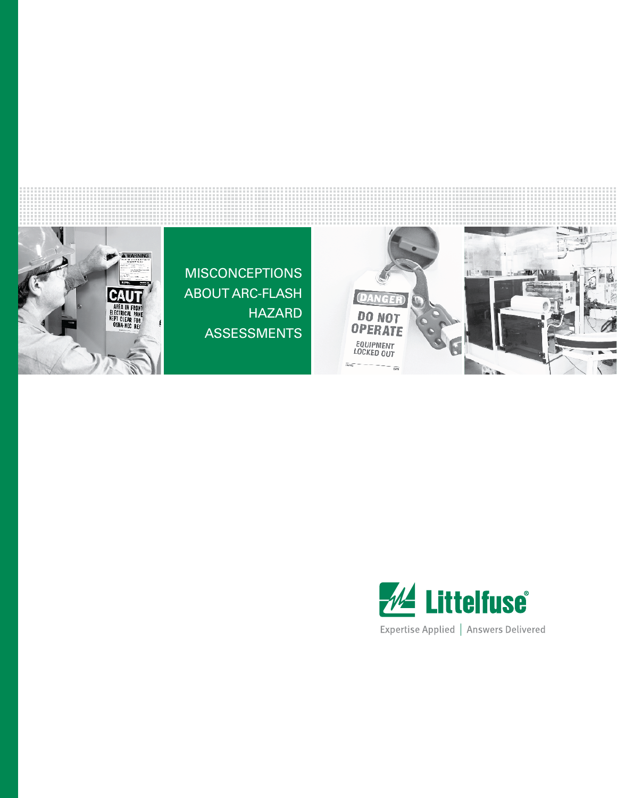

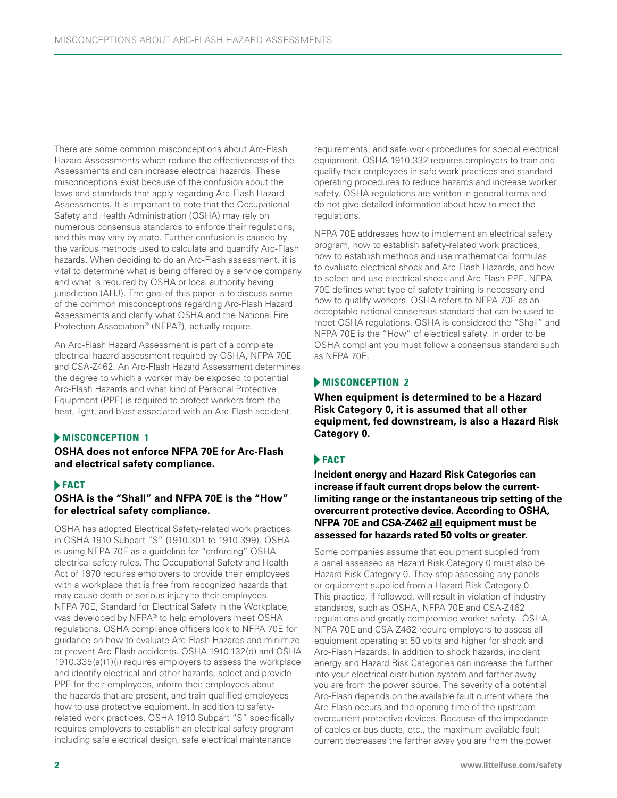There are some common misconceptions about Arc-Flash Hazard Assessments which reduce the effectiveness of the Assessments and can increase electrical hazards. These misconceptions exist because of the confusion about the laws and standards that apply regarding Arc-Flash Hazard Assessments. It is important to note that the Occupational Safety and Health Administration (OSHA) may rely on numerous consensus standards to enforce their regulations, and this may vary by state. Further confusion is caused by the various methods used to calculate and quantify Arc-Flash hazards. When deciding to do an Arc-Flash assessment, it is vital to determine what is being offered by a service company and what is required by OSHA or local authority having jurisdiction (AHJ). The goal of this paper is to discuss some of the common misconceptions regarding Arc-Flash Hazard Assessments and clarify what OSHA and the National Fire Protection Association® (NFPA®), actually require.

An Arc-Flash Hazard Assessment is part of a complete electrical hazard assessment required by OSHA, NFPA 70E and CSA-Z462. An Arc-Flash Hazard Assessment determines the degree to which a worker may be exposed to potential Arc-Flash Hazards and what kind of Personal Protective Equipment (PPE) is required to protect workers from the heat, light, and blast associated with an Arc-Flash accident.

# **MISCONCEPTION 1**

### **OSHA does not enforce NFPA 70E for Arc-Flash and electrical safety compliance.**

### **FACT**

### **OSHA is the "Shall" and NFPA 70E is the "How" for electrical safety compliance.**

OSHA has adopted Electrical Safety-related work practices in OSHA 1910 Subpart "S" (1910.301 to 1910.399). OSHA is using NFPA 70E as a guideline for "enforcing" OSHA electrical safety rules. The Occupational Safety and Health Act of 1970 requires employers to provide their employees with a workplace that is free from recognized hazards that may cause death or serious injury to their employees. NFPA 70E, Standard for Electrical Safety in the Workplace, was developed by NFPA® to help employers meet OSHA regulations. OSHA compliance officers look to NFPA 70E for guidance on how to evaluate Arc-Flash Hazards and minimize or prevent Arc-Flash accidents. OSHA 1910.132(d) and OSHA 1910.335(a)(1)(i) requires employers to assess the workplace and identify electrical and other hazards, select and provide PPE for their employees, inform their employees about the hazards that are present, and train qualified employees how to use protective equipment. In addition to safetyrelated work practices, OSHA 1910 Subpart "S" specifically requires employers to establish an electrical safety program including safe electrical design, safe electrical maintenance

requirements, and safe work procedures for special electrical equipment. OSHA 1910.332 requires employers to train and qualify their employees in safe work practices and standard operating procedures to reduce hazards and increase worker safety. OSHA regulations are written in general terms and do not give detailed information about how to meet the regulations.

NFPA 70E addresses how to implement an electrical safety program, how to establish safety-related work practices, how to establish methods and use mathematical formulas to evaluate electrical shock and Arc-Flash Hazards, and how to select and use electrical shock and Arc-Flash PPE. NFPA 70E defines what type of safety training is necessary and how to qualify workers. OSHA refers to NFPA 70E as an acceptable national consensus standard that can be used to meet OSHA regulations. OSHA is considered the "Shall" and NFPA 70E is the "How" of electrical safety. In order to be OSHA compliant you must follow a consensus standard such as NFPA 70E.

## **Misconception 2**

**When equipment is determined to be a Hazard Risk Category 0, it is assumed that all other equipment, fed downstream, is also a Hazard Risk Category 0.**

# **FACT**

**Incident energy and Hazard Risk Categories can increase if fault current drops below the currentlimiting range or the instantaneous trip setting of the overcurrent protective device. According to OSHA, NFPA 70E and CSA-Z462** all **equipment must be assessed for hazards rated 50 volts or greater.**

Some companies assume that equipment supplied from a panel assessed as Hazard Risk Category 0 must also be Hazard Risk Category 0. They stop assessing any panels or equipment supplied from a Hazard Risk Category 0. This practice, if followed, will result in violation of industry standards, such as OSHA, NFPA 70E and CSA-Z462 regulations and greatly compromise worker safety. OSHA, NFPA 70E and CSA-Z462 require employers to assess all equipment operating at 50 volts and higher for shock and Arc-Flash Hazards. In addition to shock hazards, incident energy and Hazard Risk Categories can increase the further into your electrical distribution system and farther away you are from the power source. The severity of a potential Arc-Flash depends on the available fault current where the Arc-Flash occurs and the opening time of the upstream overcurrent protective devices. Because of the impedance of cables or bus ducts, etc., the maximum available fault current decreases the farther away you are from the power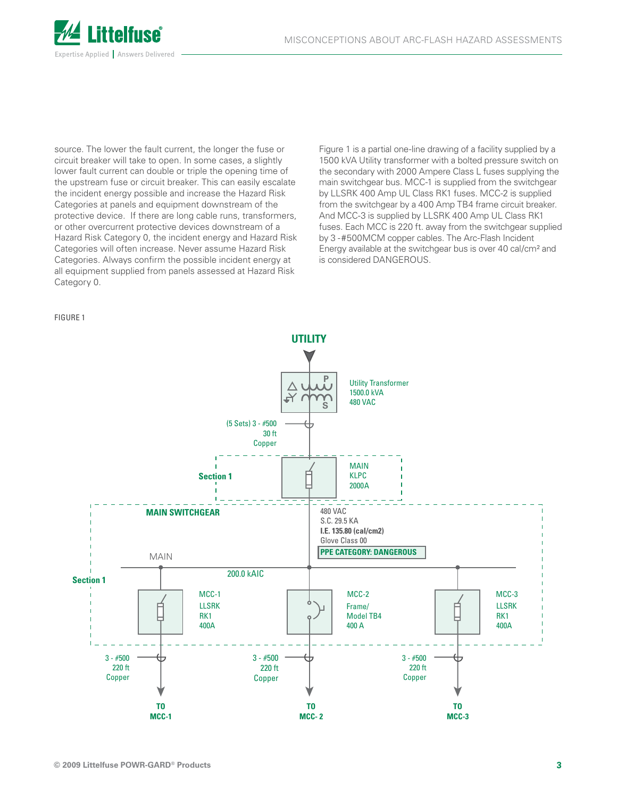

source. The lower the fault current, the longer the fuse or circuit breaker will take to open. In some cases, a slightly lower fault current can double or triple the opening time of the upstream fuse or circuit breaker. This can easily escalate the incident energy possible and increase the Hazard Risk Categories at panels and equipment downstream of the protective device. If there are long cable runs, transformers, or other overcurrent protective devices downstream of a Hazard Risk Category 0, the incident energy and Hazard Risk Categories will often increase. Never assume Hazard Risk Categories. Always confirm the possible incident energy at all equipment supplied from panels assessed at Hazard Risk Category 0.

Figure 1 is a partial one-line drawing of a facility supplied by a 1500 kVA Utility transformer with a bolted pressure switch on the secondary with 2000 Ampere Class L fuses supplying the main switchgear bus. MCC-1 is supplied from the switchgear by LLSRK 400 Amp UL Class RK1 fuses. MCC-2 is supplied from the switchgear by a 400 Amp TB4 frame circuit breaker. And MCC-3 is supplied by LLSRK 400 Amp UL Class RK1 fuses. Each MCC is 220 ft. away from the switchgear supplied by 3 -#500MCM copper cables. The Arc-Flash Incident Energy available at the switchgear bus is over 40 cal/cm² and is considered DANGEROUS.

FIGURE 1

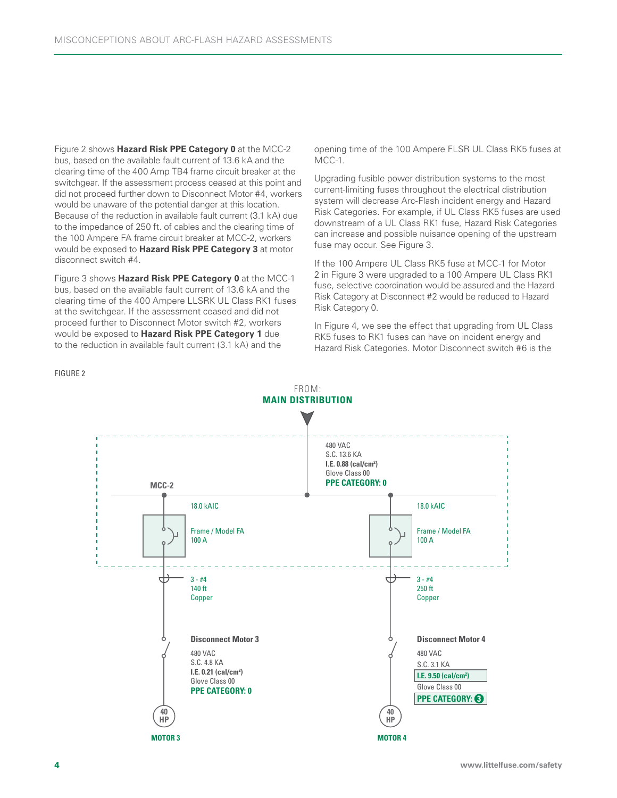Figure 2 shows **Hazard Risk PPE Category 0** at the MCC-2 bus, based on the available fault current of 13.6 kA and the clearing time of the 400 Amp TB4 frame circuit breaker at the switchgear. If the assessment process ceased at this point and did not proceed further down to Disconnect Motor #4, workers would be unaware of the potential danger at this location. Because of the reduction in available fault current (3.1 kA) due to the impedance of 250 ft. of cables and the clearing time of the 100 Ampere FA frame circuit breaker at MCC-2, workers would be exposed to **Hazard Risk PPE Category 3** at motor disconnect switch #4.

Figure 3 shows **Hazard Risk PPE Category 0** at the MCC-1 bus, based on the available fault current of 13.6 kA and the clearing time of the 400 Ampere LLSRK UL Class RK1 fuses at the switchgear. If the assessment ceased and did not proceed further to Disconnect Motor switch #2, workers would be exposed to **Hazard Risk PPE Category 1** due to the reduction in available fault current (3.1 kA) and the

opening time of the 100 Ampere FLSR UL Class RK5 fuses at MCC-1.

Upgrading fusible power distribution systems to the most current-limiting fuses throughout the electrical distribution system will decrease Arc-Flash incident energy and Hazard Risk Categories. For example, if UL Class RK5 fuses are used downstream of a UL Class RK1 fuse, Hazard Risk Categories can increase and possible nuisance opening of the upstream fuse may occur. See Figure 3.

If the 100 Ampere UL Class RK5 fuse at MCC-1 for Motor 2 in Figure 3 were upgraded to a 100 Ampere UL Class RK1 fuse, selective coordination would be assured and the Hazard Risk Category at Disconnect #2 would be reduced to Hazard Risk Category 0.

In Figure 4, we see the effect that upgrading from UL Class RK5 fuses to RK1 fuses can have on incident energy and Hazard Risk Categories. Motor Disconnect switch #6 is the



FIGURE 2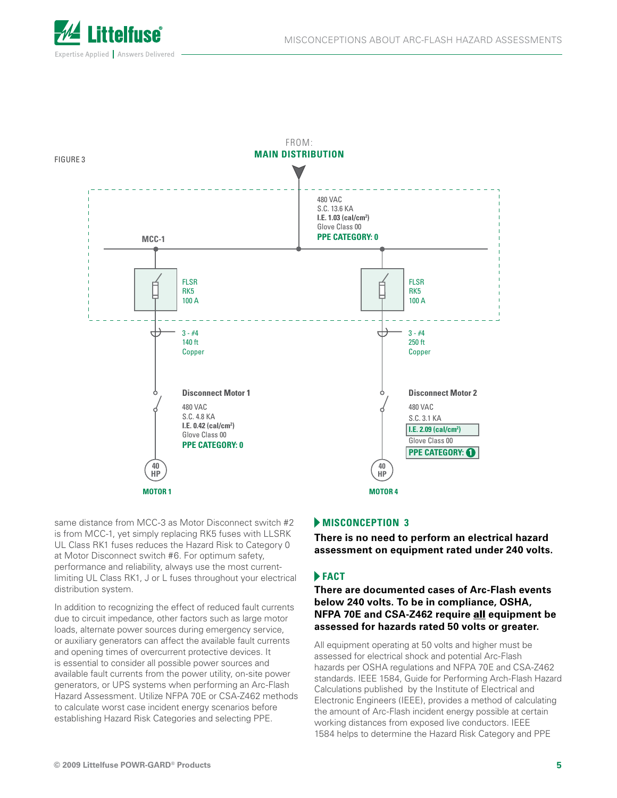



same distance from MCC-3 as Motor Disconnect switch #2 is from MCC-1, yet simply replacing RK5 fuses with LLSRK UL Class RK1 fuses reduces the Hazard Risk to Category 0 at Motor Disconnect switch #6. For optimum safety, performance and reliability, always use the most currentlimiting UL Class RK1, J or L fuses throughout your electrical distribution system.

In addition to recognizing the effect of reduced fault currents due to circuit impedance, other factors such as large motor loads, alternate power sources during emergency service, or auxiliary generators can affect the available fault currents and opening times of overcurrent protective devices. It is essential to consider all possible power sources and available fault currents from the power utility, on-site power generators, or UPS systems when performing an Arc-Flash Hazard Assessment. Utilize NFPA 70E or CSA-Z462 methods to calculate worst case incident energy scenarios before establishing Hazard Risk Categories and selecting PPE.

#### **MISCONCEPTION 3**

**There is no need to perform an electrical hazard assessment on equipment rated under 240 volts.**

### **FACT**

**There are documented cases of Arc-Flash events below 240 volts. To be in compliance, OSHA, NFPA 70E and CSA-Z462 require** all **equipment be assessed for hazards rated 50 volts or greater.**

All equipment operating at 50 volts and higher must be assessed for electrical shock and potential Arc-Flash hazards per OSHA regulations and NFPA 70E and CSA-Z462 standards. IEEE 1584, Guide for Performing Arch-Flash Hazard Calculations published by the Institute of Electrical and Electronic Engineers (IEEE), provides a method of calculating the amount of Arc-Flash incident energy possible at certain working distances from exposed live conductors. IEEE 1584 helps to determine the Hazard Risk Category and PPE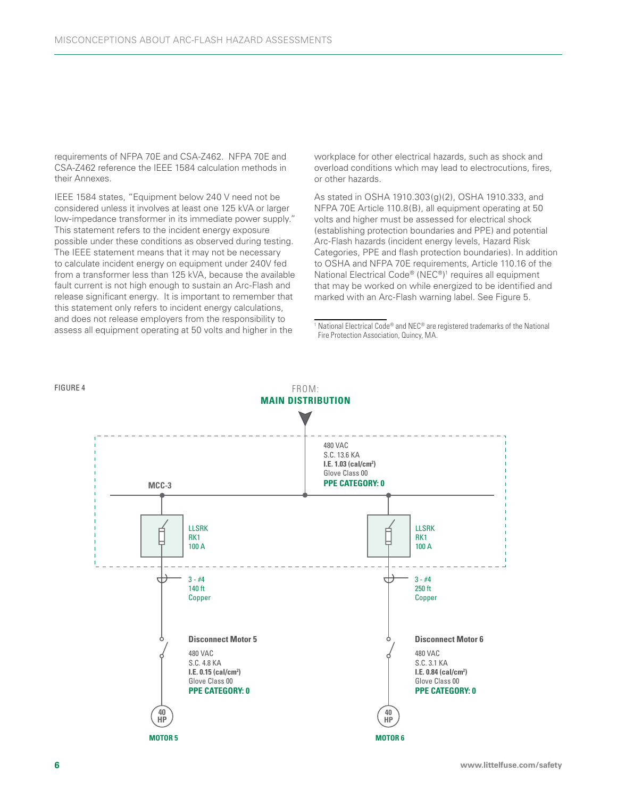requirements of NFPA 70E and CSA-Z462. NFPA 70E and CSA-Z462 reference the IEEE 1584 calculation methods in their Annexes.

IEEE 1584 states, "Equipment below 240 V need not be considered unless it involves at least one 125 kVA or larger low-impedance transformer in its immediate power supply." This statement refers to the incident energy exposure possible under these conditions as observed during testing. The IEEE statement means that it may not be necessary to calculate incident energy on equipment under 240V fed from a transformer less than 125 kVA, because the available fault current is not high enough to sustain an Arc-Flash and release significant energy. It is important to remember that this statement only refers to incident energy calculations, and does not release employers from the responsibility to assess all equipment operating at 50 volts and higher in the

workplace for other electrical hazards, such as shock and overload conditions which may lead to electrocutions, fires, or other hazards.

As stated in OSHA 1910.303(g)(2), OSHA 1910.333, and NFPA 70E Article 110.8(B), all equipment operating at 50 volts and higher must be assessed for electrical shock (establishing protection boundaries and PPE) and potential Arc-Flash hazards (incident energy levels, Hazard Risk Categories, PPE and flash protection boundaries). In addition to OSHA and NFPA 70E requirements, Article 110.16 of the National Electrical Code® (NEC®)<sup>1</sup> requires all equipment that may be worked on while energized to be identified and marked with an Arc-Flash warning label. See Figure 5.

<sup>1</sup> National Electrical Code® and NEC® are registered trademarks of the National Fire Protection Association, Quincy, MA.

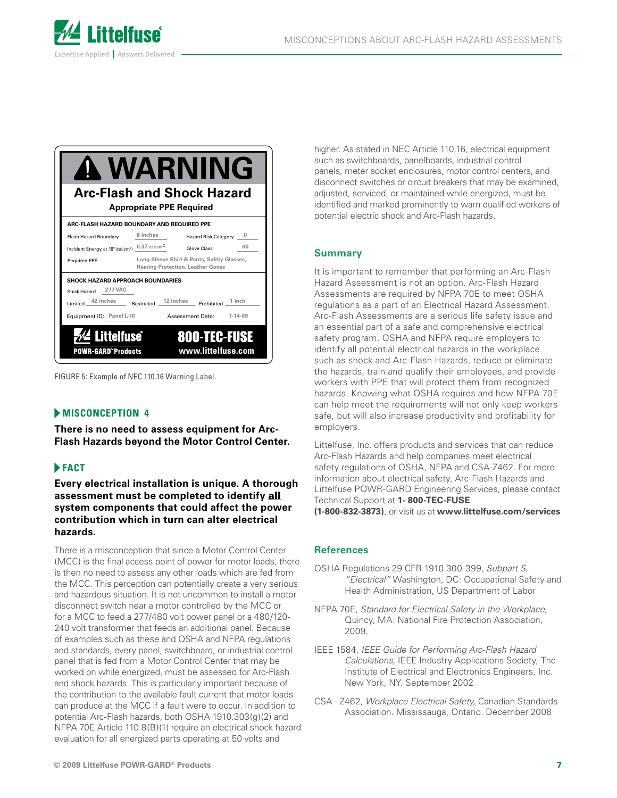

| <b>WARNING</b><br><b>Arc-Flash and Shock Hazard</b><br><b>Appropriate PPE Required</b>                                                |                                                                                        |                                           |                |
|---------------------------------------------------------------------------------------------------------------------------------------|----------------------------------------------------------------------------------------|-------------------------------------------|----------------|
| ARC-FLASH HAZARD BOUNDARY AND REQUIRED PPE                                                                                            |                                                                                        |                                           |                |
| Flash Hazard Boundary                                                                                                                 | 8 inches                                                                               | Hazard Risk Category 0                    |                |
| Incident Energy at 18" (cal/cm <sup>2</sup> ) $0.37$ cal/cm <sup>2</sup>                                                              |                                                                                        | Glove Class                               | 0 <sub>0</sub> |
| <b>Required PPE</b>                                                                                                                   | Long Sleeve Shirt & Pants, Safety Glasses,<br><b>Hearing Protection, Leather Goves</b> |                                           |                |
| <b>SHOCK HAZARD APPROACH BOUNDARIES</b><br>Shick Hazard 277 VAC<br>Limited 42 inches Restricted 12 inches<br>Equipment ID: Panel L-10 |                                                                                        | Prohibited 1inch<br>Assessment Date:      | $1 - 14 - 09$  |
| <b>Littelfuse</b><br><b>POWR-GARD"Products</b>                                                                                        |                                                                                        | <b>800-TEC-FUSE</b><br>www.littelfuse.com |                |

FIGURE 5: Example of NEC 110.16 Warning Label.

# **MISCONCEPTION 4**

**There is no need to assess equipment for Arc-Flash Hazards beyond the Motor Control Center.**

# **FACT**

**Every electrical installation is unique. A thorough assessment must be completed to identify** all **system components that could affect the power contribution which in turn can alter electrical hazards.**

There is a misconception that since a Motor Control Center (MCC) is the final access point of power for motor loads, there is then no need to assess any other loads which are fed from the MCC. This perception can potentially create a very serious and hazardous situation. It is not uncommon to install a motor disconnect switch near a motor controlled by the MCC or for a MCC to feed a 277/480 volt power panel or a 480/120- 240 volt transformer that feeds an additional panel. Because of examples such as these and OSHA and NFPA regulations and standards, every panel, switchboard, or industrial control panel that is fed from a Motor Control Center that may be worked on while energized, must be assessed for Arc-Flash and shock hazards. This is particularly important because of the contribution to the available fault current that motor loads can produce at the MCC if a fault were to occur. In addition to potential Arc-Flash hazards, both OSHA 1910.303(g)(2) and NFPA 70E Article 110.8(B)(1) require an electrical shock hazard evaluation for all energized parts operating at 50 volts and

higher. As stated in NEC Article 110.16, electrical equipment such as switchboards, panelboards, industrial control panels, meter socket enclosures, motor control centers, and disconnect switches or circuit breakers that may be examined, adjusted, serviced, or maintained while energized, must be identified and marked prominently to warn qualified workers of potential electric shock and Arc-Flash hazards.

### **Summary**

It is important to remember that performing an Arc-Flash Hazard Assessment is not an option. Arc-Flash Hazard Assessments are required by NFPA 70E to meet OSHA regulations as a part of an Electrical Hazard Assessment. Arc-Flash Assessments are a serious life safety issue and an essential part of a safe and comprehensive electrical safety program. OSHA and NFPA require employers to identify all potential electrical hazards in the workplace such as shock and Arc-Flash Hazards, reduce or eliminate the hazards, train and qualify their employees, and provide workers with PPE that will protect them from recognized hazards. Knowing what OSHA requires and how NFPA 70E can help meet the requirements will not only keep workers safe, but will also increase productivity and profitability for employers.

Littelfuse, Inc. offers products and services that can reduce Arc-Flash Hazards and help companies meet electrical safety regulations of OSHA, NFPA and CSA-Z462. For more information about electrical safety, Arc-Flash Hazards and Littelfuse POWR-GARD Engineering Services, please contact Technical Support at **1- 800-TEC-FUSE (1-800-832-3873)**, or visit us at **www.littelfuse.com/services** 

#### **References**

- OSHA Regulations 29 CFR 1910.300-399, *Subpart S, "Electrical"* Washington, DC: Occupational Safety and Health Administration, US Department of Labor
- NFPA 70E, *Standard for Electrical Safety in the Workplace*, Quincy, MA: National Fire Protection Association, 2009.
- IEEE 1584, *IEEE Guide for Performing Arc-Flash Hazard Calculations,* IEEE Industry Applications Society, The Institute of Electrical and Electronics Engineers, Inc. New York, NY. September 2002
- CSA Z462, *Workplace Electrical Safety,* Canadian Standards Association. Mississauga, Ontario. December 2008